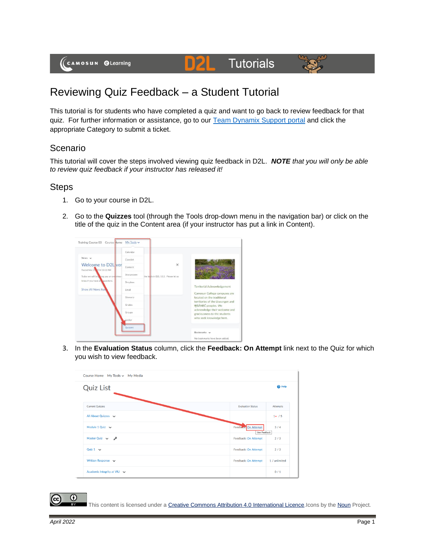## D**2 Tutorials**



## Reviewing Quiz Feedback – a Student Tutorial

This tutorial is for students who have completed a quiz and want to go back to review feedback for that quiz. For further information or assistance, go to our [Team Dynamix Support portal](https://camosun.teamdynamix.com/TDClient/67/Portal/Requests/ServiceCatalog?CategoryID=524) and click the appropriate Category to submit a ticket.

## Scenario

This tutorial will cover the steps involved viewing quiz feedback in D2L. *NOTE that you will only be able to review quiz feedback if your instructor has released it!*

## Steps

- 1. Go to your course in D2L.
- 2. Go to the **Quizzes** tool (through the Tools drop-down menu in the navigation bar) or click on the title of the quiz in the Content area (if your instructor has put a link in Content).



3. In the **Evaluation Status** column, click the **Feedback: On Attempt** link next to the Quiz for which you wish to view feedback.



This content is licensed under [a Creative Commons Attribution 4.0 International Licence.I](https://creativecommons.org/licenses/by/4.0/)cons by th[e Noun](https://creativecommons.org/website-icons/) Project.

 $\odot$